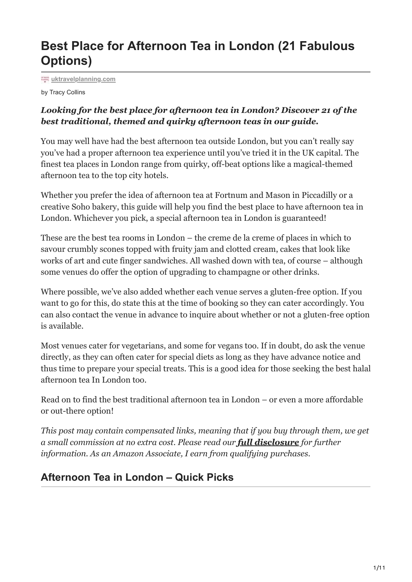# **Best Place for Afternoon Tea in London (21 Fabulous Options)**

**[uktravelplanning.com](https://uktravelplanning.com/?p=17149&preview=true&_thumbnail_id=17158)**

by Tracy Collins

#### *Looking for the best place for afternoon tea in London? Discover 21 of the best traditional, themed and quirky afternoon teas in our guide.*

You may well have had the best afternoon tea outside London, but you can't really say you've had a proper afternoon tea experience until you've tried it in the UK capital. The finest tea places in London range from quirky, off-beat options like a magical-themed afternoon tea to the top city hotels.

Whether you prefer the idea of afternoon tea at Fortnum and Mason in Piccadilly or a creative Soho bakery, this guide will help you find the best place to have afternoon tea in London. Whichever you pick, a special afternoon tea in London is guaranteed!

These are the best tea rooms in London – the creme de la creme of places in which to savour crumbly scones topped with fruity jam and clotted cream, cakes that look like works of art and cute finger sandwiches. All washed down with tea, of course – although some venues do offer the option of upgrading to champagne or other drinks.

Where possible, we've also added whether each venue serves a gluten-free option. If you want to go for this, do state this at the time of booking so they can cater accordingly. You can also contact the venue in advance to inquire about whether or not a gluten-free option is available.

Most venues cater for vegetarians, and some for vegans too. If in doubt, do ask the venue directly, as they can often cater for special diets as long as they have advance notice and thus time to prepare your special treats. This is a good idea for those seeking the best halal afternoon tea In London too.

Read on to find the best traditional afternoon tea in London – or even a more affordable or out-there option!

*This post may contain compensated links, meaning that if you buy through them, we get a small commission at no extra cost. Please read our [full disclosure](https://uktravelplanning.com/disclaimer/) for further information. As an Amazon Associate, I earn from qualifying purchases.*

# **Afternoon Tea in London – Quick Picks**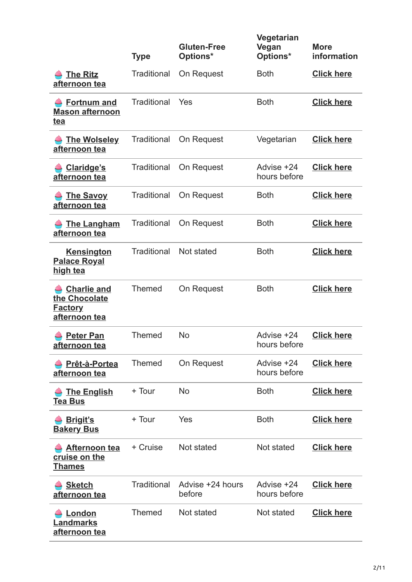|                                                                               | <b>Type</b>        | <b>Gluten-Free</b><br>Options* | Vegetarian<br>Vegan<br>Options* | <b>More</b><br>information |
|-------------------------------------------------------------------------------|--------------------|--------------------------------|---------------------------------|----------------------------|
| <b>The Ritz</b><br>afternoon tea                                              | <b>Traditional</b> | On Request                     | <b>Both</b>                     | <b>Click here</b>          |
| <b>Fortnum and</b><br><b>Mason afternoon</b><br><u>tea</u>                    | <b>Traditional</b> | Yes                            | <b>Both</b>                     | <b>Click here</b>          |
| <b>The Wolseley</b><br>afternoon tea                                          | <b>Traditional</b> | On Request                     | Vegetarian                      | <b>Click here</b>          |
| <b>Claridge's</b><br>afternoon tea                                            | <b>Traditional</b> | On Request                     | Advise +24<br>hours before      | <b>Click here</b>          |
| <b>The Savoy</b><br>afternoon tea                                             | <b>Traditional</b> | On Request                     | <b>Both</b>                     | <b>Click here</b>          |
| <b>The Langham</b><br>afternoon tea                                           | <b>Traditional</b> | On Request                     | <b>Both</b>                     | <b>Click here</b>          |
| <b>Kensington</b><br><b>Palace Royal</b><br><u>high tea</u>                   | <b>Traditional</b> | Not stated                     | <b>Both</b>                     | <b>Click here</b>          |
| <b>Charlie and</b><br>the Chocolate<br><u>Factory</u><br><u>afternoon tea</u> | <b>Themed</b>      | On Request                     | <b>Both</b>                     | <b>Click here</b>          |
| <b>Peter Pan</b><br><u>afternoon tea</u>                                      | <b>Themed</b>      | <b>No</b>                      | Advise +24<br>hours before      | <b>Click here</b>          |
| Prêt-à-Portea<br><u>afternoon tea</u>                                         | <b>Themed</b>      | On Request                     | Advise +24<br>hours before      | <b>Click here</b>          |
| The English<br><b>Tea Bus</b>                                                 | + Tour             | <b>No</b>                      | <b>Both</b>                     | <b>Click here</b>          |
| <b>Brigit's</b><br><b>Bakery Bus</b>                                          | + Tour             | Yes                            | <b>Both</b>                     | <b>Click here</b>          |
| <b>Afternoon tea</b><br><u>cruise on the </u><br><u>Thames</u>                | + Cruise           | Not stated                     | Not stated                      | <b>Click here</b>          |
| <b>Sketch</b><br>afternoon tea                                                | <b>Traditional</b> | Advise +24 hours<br>before     | Advise +24<br>hours before      | <b>Click here</b>          |
| London<br><u>Landmarks</u><br><u>afternoon tea</u>                            | <b>Themed</b>      | Not stated                     | Not stated                      | <b>Click here</b>          |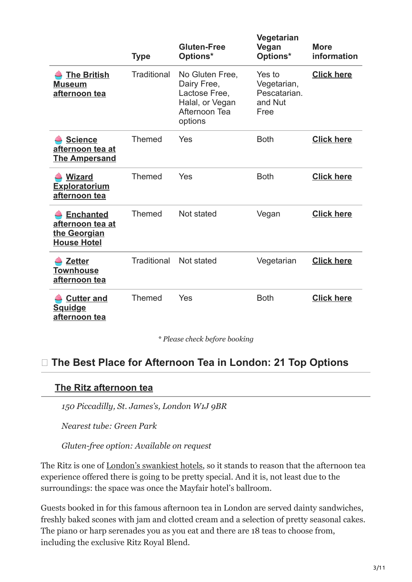|                                                                                   | <b>Type</b>        | <b>Gluten-Free</b><br>Options*                                                                 | Vegetarian<br>Vegan<br>Options*                          | <b>More</b><br>information |
|-----------------------------------------------------------------------------------|--------------------|------------------------------------------------------------------------------------------------|----------------------------------------------------------|----------------------------|
| <b>The British</b><br><b>Museum</b><br>afternoon tea                              | <b>Traditional</b> | No Gluten Free,<br>Dairy Free,<br>Lactose Free,<br>Halal, or Vegan<br>Afternoon Tea<br>options | Yes to<br>Vegetarian,<br>Pescatarian.<br>and Nut<br>Free | <b>Click here</b>          |
| <b>Science</b><br>afternoon tea at<br><u>The Ampersand</u>                        | <b>Themed</b>      | Yes                                                                                            | <b>Both</b>                                              | <b>Click here</b>          |
| <b>Wizard</b><br>Exploratorium<br>afternoon tea                                   | Themed             | Yes                                                                                            | <b>Both</b>                                              | <b>Click here</b>          |
| <b>Enchanted</b><br><u>afternoon tea at</u><br>the Georgian<br><b>House Hotel</b> | <b>Themed</b>      | Not stated                                                                                     | Vegan                                                    | <b>Click here</b>          |
| <b>Zetter</b><br><b>Townhouse</b><br>afternoon tea                                | Traditional        | Not stated                                                                                     | Vegetarian                                               | <b>Click here</b>          |
| <b>Cutter and</b><br><b>Squidge</b><br>afternoon tea                              | <b>Themed</b>      | Yes                                                                                            | <b>Both</b>                                              | <b>Click here</b>          |

*\* Please check before booking*

# **The Best Place for Afternoon Tea in London: 21 Top Options**

#### **[The Ritz afternoon tea](https://www.theritzlondon.com/dine-with-us/afternoon-tea/)**

*150 Piccadilly, St. James's, London W1J 9BR*

*Nearest tube: Green Park*

*Gluten-free option: Available on request*

The Ritz is one of [London's swankiest hotels,](https://uktravelplanning.com/best-area-to-stay-in-london-accommodation-guide/) so it stands to reason that the afternoon tea experience offered there is going to be pretty special. And it is, not least due to the surroundings: the space was once the Mayfair hotel's ballroom.

Guests booked in for this famous afternoon tea in London are served dainty sandwiches, freshly baked scones with jam and clotted cream and a selection of pretty seasonal cakes. The piano or harp serenades you as you eat and there are 18 teas to choose from, including the exclusive Ritz Royal Blend.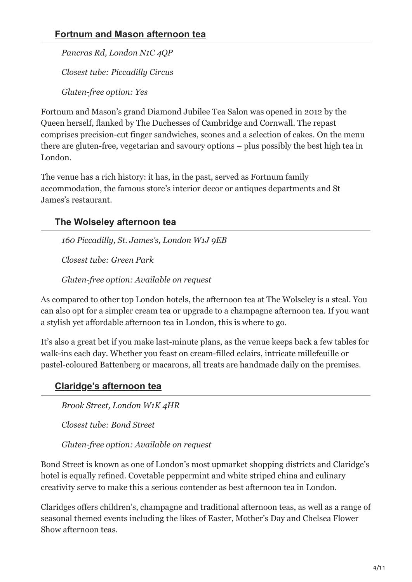#### **[Fortnum and Mason afternoon tea](https://www.fortnumandmason.com/afternoon-tea)**

*Pancras Rd, London N1C 4QP*

*Closest tube: Piccadilly Circus*

*Gluten-free option: Yes*

Fortnum and Mason's grand Diamond Jubilee Tea Salon was opened in 2012 by the Queen herself, flanked by The Duchesses of Cambridge and Cornwall. The repast comprises precision-cut finger sandwiches, scones and a selection of cakes. On the menu there are gluten-free, vegetarian and savoury options – plus possibly the best high tea in London.

The venue has a rich history: it has, in the past, served as Fortnum family accommodation, the famous store's interior decor or antiques departments and St James's restaurant.

# **[The Wolseley afternoon tea](https://www.thewolseley.com/menu/afternoon-tea/)**

*160 Piccadilly, St. James's, London W1J 9EB*

*Closest tube: Green Park*

*Gluten-free option: Available on request*

As compared to other top London hotels, the afternoon tea at The Wolseley is a steal. You can also opt for a simpler cream tea or upgrade to a champagne afternoon tea. If you want a stylish yet affordable afternoon tea in London, this is where to go.

It's also a great bet if you make last-minute plans, as the venue keeps back a few tables for walk-ins each day. Whether you feast on cream-filled eclairs, intricate millefeuille or pastel-coloured Battenberg or macarons, all treats are handmade daily on the premises.

# **[Claridge's afternoon tea](https://www.claridges.co.uk/restaurants-bars/afternoon-tea/)**

*Brook Street, London W1K 4HR*

*Closest tube: Bond Street*

*Gluten-free option: Available on request*

Bond Street is known as one of London's most upmarket shopping districts and Claridge's hotel is equally refined. Covetable peppermint and white striped china and culinary creativity serve to make this a serious contender as best afternoon tea in London.

Claridges offers children's, champagne and traditional afternoon teas, as well as a range of seasonal themed events including the likes of Easter, Mother's Day and Chelsea Flower Show afternoon teas.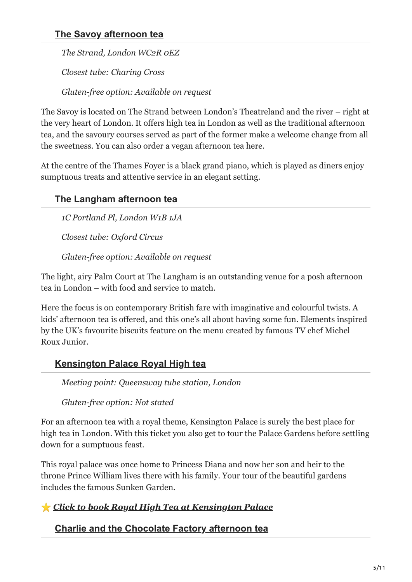### **[The Savoy afternoon tea](https://www.thesavoylondon.com/experience/afternoon-tea-london/)**

*The Strand, London WC2R 0EZ*

*Closest tube: Charing Cross*

*Gluten-free option: Available on request*

The Savoy is located on The Strand between London's Theatreland and the river – right at the very heart of London. It offers high tea in London as well as the traditional afternoon tea, and the savoury courses served as part of the former make a welcome change from all the sweetness. You can also order a vegan afternoon tea here.

At the centre of the Thames Foyer is a black grand piano, which is played as diners enjoy sumptuous treats and attentive service in an elegant setting.

# **[The Langham afternoon tea](https://www.langhamhotels.com/en/the-langham/london/dining/the-langham-afternoon-tea/)**

*1C Portland Pl, London W1B 1JA*

*Closest tube: Oxford Circus*

*Gluten-free option: Available on request*

The light, airy Palm Court at The Langham is an outstanding venue for a posh afternoon tea in London – with food and service to match.

Here the focus is on contemporary British fare with imaginative and colourful twists. A kids' afternoon tea is offered, and this one's all about having some fun. Elements inspired by the UK's favourite biscuits feature on the menu created by famous TV chef Michel Roux Junior.



### **[Kensington Palace Royal High tea](https://www.getyourguide.com/london-l57/london-kensington-palace-gardens-tour-with-royal-high-tea-t268097/?partner_id=NWK5QW1&utm_medium=online_publisher&placement=content-middle&cmp=Afternoon-Tea)**

*Meeting point: Queensway tube station, London*

*Gluten-free option: Not stated*

For an afternoon tea with a royal theme, Kensington Palace is surely the best place for high tea in London. With this ticket you also get to tour the Palace Gardens before settling down for a sumptuous feast.

This royal palace was once home to Princess Diana and now her son and heir to the throne Prince William lives there with his family. Your tour of the beautiful gardens includes the famous Sunken Garden.

### ⭐ *[Click to book Royal High Tea at Kensington Palace](https://www.getyourguide.com/london-l57/london-kensington-palace-gardens-tour-with-royal-high-tea-t268097/?partner_id=NWK5QW1&utm_medium=online_publisher&placement=content-middle&cmp=Afternoon-Tea)*

#### **[Charlie and the Chocolate Factory afternoon tea](https://www.onealdwych.com/food-drink/charlie-the-chocolate-factory-afternoon-tea/)**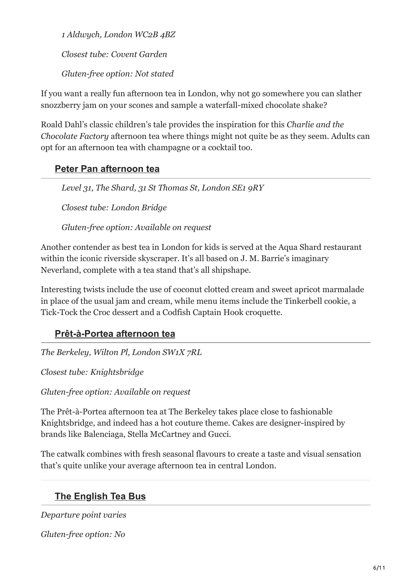*1 Aldwych, London WC2B 4BZ*

*Closest tube: Covent Garden*

*Gluten-free option: Not stated*

If you want a really fun afternoon tea in London, why not go somewhere you can slather snozzberry jam on your scones and sample a waterfall-mixed chocolate shake?

Roald Dahl's classic children's tale provides the inspiration for this *Charlie and the Chocolate Factory* afternoon tea where things might not quite be as they seem. Adults can opt for an afternoon tea with champagne or a cocktail too.

# **[Peter Pan afternoon tea](https://www.the-shard.com/news-events/news/aqua-shard-celebrates-the-world-of-peter-pan-with-magical-afternoon-tea)**

*Level 31, The Shard, 31 St Thomas St, London SE1 9RY*

*Closest tube: London Bridge*

*Gluten-free option: Available on request*

Another contender as best tea in London for kids is served at the Aqua Shard restaurant within the iconic riverside skyscraper. It's all based on J. M. Barrie's imaginary Neverland, complete with a tea stand that's all shipshape.

Interesting twists include the use of coconut clotted cream and sweet apricot marmalade in place of the usual jam and cream, while menu items include the Tinkerbell cookie, a Tick-Tock the Croc dessert and a Codfish Captain Hook croquette.

### **[Prêt-à-Portea afternoon tea](https://www.the-berkeley.co.uk/restaurants-bars/afternoon-tea/)**

*The Berkeley, Wilton Pl, London SW1X 7RL*

*Closest tube: Knightsbridge*

*Gluten-free option: Available on request*

The Prêt-à-Portea afternoon tea at The Berkeley takes place close to fashionable Knightsbridge, and indeed has a hot couture theme. Cakes are designer-inspired by brands like Balenciaga, Stella McCartney and Gucci.

The catwalk combines with fresh seasonal flavours to create a taste and visual sensation that's quite unlike your average afternoon tea in central London.

# **[The English Tea Bus](https://www.getyourguide.com/london-l57/afternoon-tea-bus-with-panoramic-tour-of-london-t267952/?partner_id=NWK5QW1&utm_medium=online_publisher&placement=content-middle&cmp=Afternoon-Tea)**

*Departure point varies*

*Gluten-free option: No*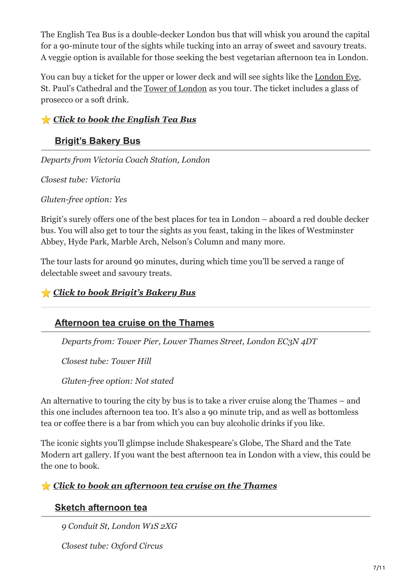The English Tea Bus is a double-decker London bus that will whisk you around the capital for a 90-minute tour of the sights while tucking into an array of sweet and savoury treats. A veggie option is available for those seeking the best vegetarian afternoon tea in London.

You can buy a ticket for the upper or lower deck and will see sights like the [London Eye](https://uktravelplanning.com/visiting-the-london-eye/), St. Paul's Cathedral and the [Tower of London](https://uktravelplanning.com/visiting-the-tower-of-london/) as you tour. The ticket includes a glass of prosecco or a soft drink.

#### ⭐ *[Click to book the English Tea Bus](https://www.getyourguide.com/london-l57/afternoon-tea-bus-with-panoramic-tour-of-london-t267952/?partner_id=NWK5QW1&utm_medium=online_publisher&placement=content-middle&cmp=Afternoon-Tea)*

#### **[Brigit's Bakery Bus](https://www.viator.com/tours/London/Brigits-Afternoon-Tea-Bus/d737-195781P1?pid=P00045375&mcid=42383&medium=link&campaign=Afternoon-Teas)**

*Departs from Victoria Coach Station, London* 

*Closest tube: Victoria*

*Gluten-free option: Yes*

Brigit's surely offers one of the best places for tea in London – aboard a red double decker bus. You will also get to tour the sights as you feast, taking in the likes of Westminster Abbey, Hyde Park, Marble Arch, Nelson's Column and many more.

The tour lasts for around 90 minutes, during which time you'll be served a range of delectable sweet and savoury treats.

#### ⭐ *[Click to book Brigit's Bakery Bus](https://www.viator.com/tours/London/Brigits-Afternoon-Tea-Bus/d737-195781P1?pid=P00045375&mcid=42383&medium=link&campaign=Afternoon-Teas)*

#### **[Afternoon tea cruise on the Thames](https://www.getyourguide.com/tower-millennium-pier-l148015/thames-lunch-cruise-t22633/?partner_id=NWK5QW1&utm_medium=online_publisher&placement=content-middle&cmp=Afternoon-Tea)**

*Departs from: Tower Pier, Lower Thames Street, London EC3N 4DT*

*Closest tube: Tower Hill*

*Gluten-free option: Not stated* 

An alternative to touring the city by bus is to take a river cruise along the Thames – and this one includes afternoon tea too. It's also a 90 minute trip, and as well as bottomless tea or coffee there is a bar from which you can buy alcoholic drinks if you like.

The iconic sights you'll glimpse include Shakespeare's Globe, The Shard and the Tate Modern art gallery. If you want the best afternoon tea in London with a view, this could be the one to book.

#### ⭐ *[Click to book an afternoon tea cruise on the Thames](https://www.getyourguide.com/tower-millennium-pier-l148015/thames-lunch-cruise-t22633/?partner_id=NWK5QW1&utm_medium=online_publisher&placement=content-middle&cmp=Afternoon-Tea)*

#### **[Sketch afternoon tea](https://sketch.london/)**

*9 Conduit St, London W1S 2XG*

*Closest tube: Oxford Circus*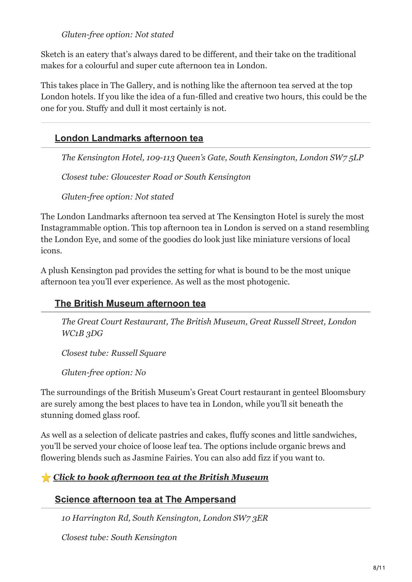#### *Gluten-free option: Not stated*

Sketch is an eatery that's always dared to be different, and their take on the traditional makes for a colourful and super cute afternoon tea in London.

This takes place in The Gallery, and is nothing like the afternoon tea served at the top London hotels. If you like the idea of a fun-filled and creative two hours, this could be the one for you. Stuffy and dull it most certainly is not.

### **[London Landmarks afternoon tea](https://townhousekensington.com/london-landmarks-afternoon-tea/)**

*The Kensington Hotel, 109-113 Queen's Gate, South Kensington, London SW7 5LP*

*Closest tube: Gloucester Road or South Kensington*

*Gluten-free option: Not stated*

The London Landmarks afternoon tea served at The Kensington Hotel is surely the most Instagrammable option. This top afternoon tea in London is served on a stand resembling the London Eye, and some of the goodies do look just like miniature versions of local icons.

A plush Kensington pad provides the setting for what is bound to be the most unique afternoon tea you'll ever experience. As well as the most photogenic.

#### **[The British Museum afternoon tea](https://www.getyourguide.com/london-l57/london-15-hour-afternoon-tea-at-the-british-museum-t114220/?partner_id=NWK5QW1&utm_medium=online_publisher&placement=content-middle&cmp=Afternoon-Tea)**

*The Great Court Restaurant, The British Museum, Great Russell Street, London WC1B 3DG*

*Closest tube: Russell Square*

*Gluten-free option: No*

The surroundings of the British Museum's Great Court restaurant in genteel Bloomsbury are surely among the best places to have tea in London, while you'll sit beneath the stunning domed glass roof.

As well as a selection of delicate pastries and cakes, fluffy scones and little sandwiches, you'll be served your choice of loose leaf tea. The options include organic brews and flowering blends such as Jasmine Fairies. You can also add fizz if you want to.

#### ⭐ *[Click to book afternoon tea at the British Museum](https://www.getyourguide.com/london-l57/london-15-hour-afternoon-tea-at-the-british-museum-t114220/?partner_id=NWK5QW1&utm_medium=online_publisher&placement=content-middle&cmp=Afternoon-Tea)*

**[Science afternoon tea at The Ampersand](https://ampersandhotel.com/eat-drink/the-drawing-rooms/science-afternoon-tea/)**

*10 Harrington Rd, South Kensington, London SW7 3ER*

*Closest tube: South Kensington*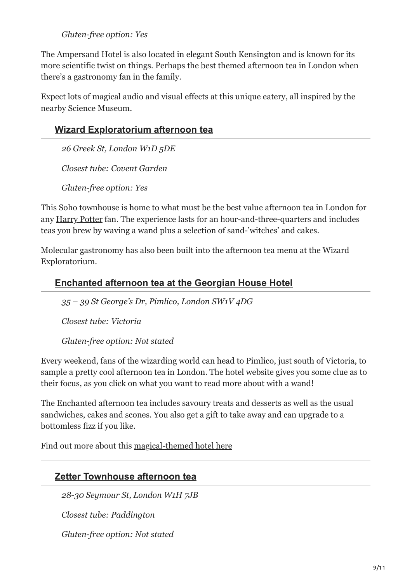#### *Gluten-free option: Yes*

The Ampersand Hotel is also located in elegant South Kensington and is known for its more scientific twist on things. Perhaps the best themed afternoon tea in London when there's a gastronomy fan in the family.

Expect lots of magical audio and visual effects at this unique eatery, all inspired by the nearby Science Museum.

#### **[Wizard Exploratorium afternoon tea](https://www.wizardexploratorium.io/tea)**

*26 Greek St, London W1D 5DE*

*Closest tube: Covent Garden*

*Gluten-free option: Yes*

This Soho townhouse is home to what must be the best value afternoon tea in London for any [Harry Potter](https://uktravelplanning.com/harry-potter-in-london/) fan. The experience lasts for an hour-and-three-quarters and includes teas you brew by waving a wand plus a selection of sand-'witches' and cakes.

Molecular gastronomy has also been built into the afternoon tea menu at the Wizard Exploratorium.



#### **[Enchanted afternoon tea at the Georgian House Hotel](https://georgianhousehotel.co.uk/wizard-experiences/#feast)**

*35 – 39 St George's Dr, Pimlico, London SW1V 4DG*

*Closest tube: Victoria*

*Gluten-free option: Not stated*

Every weekend, fans of the wizarding world can head to Pimlico, just south of Victoria, to sample a pretty cool afternoon tea in London. The hotel website gives you some clue as to their focus, as you click on what you want to read more about with a wand!

The Enchanted afternoon tea includes savoury treats and desserts as well as the usual sandwiches, cakes and scones. You also get a gift to take away and can upgrade to a bottomless fizz if you like.

Find out more about this [magical-themed hotel here](https://uktravelplanning.com/harry-potter-filming-locations-in-london/)

#### **[Zetter Townhouse afternoon tea](https://thezetter.com/townhouse-marylebone/afternoon-tea/)**

*28-30 Seymour St, London W1H 7JB*

*Closest tube: Paddington*

*Gluten-free option: Not stated*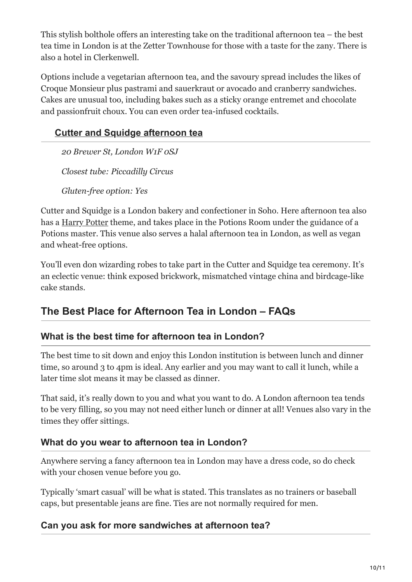This stylish bolthole offers an interesting take on the traditional afternoon tea – the best tea time in London is at the Zetter Townhouse for those with a taste for the zany. There is also a hotel in Clerkenwell.

Options include a vegetarian afternoon tea, and the savoury spread includes the likes of Croque Monsieur plus pastrami and sauerkraut or avocado and cranberry sandwiches. Cakes are unusual too, including bakes such as a sticky orange entremet and chocolate and passionfruit choux. You can even order tea-infused cocktails.

# **[Cutter and Squidge afternoon tea](https://cutterandsquidge.com/pages/afternoon-tea-london)**

*20 Brewer St, London W1F 0SJ*

*Closest tube: Piccadilly Circus* 

*Gluten-free option: Yes*

Cutter and Squidge is a London bakery and confectioner in Soho. Here afternoon tea also has a [Harry Potter](https://uktravelplanning.com/london-to-harry-potter-studios/) theme, and takes place in the Potions Room under the guidance of a Potions master. This venue also serves a halal afternoon tea in London, as well as vegan and wheat-free options.

You'll even don wizarding robes to take part in the Cutter and Squidge tea ceremony. It's an eclectic venue: think exposed brickwork, mismatched vintage china and birdcage-like cake stands.

# **The Best Place for Afternoon Tea in London – FAQs**

#### **What is the best time for afternoon tea in London?**

The best time to sit down and enjoy this London institution is between lunch and dinner time, so around 3 to 4pm is ideal. Any earlier and you may want to call it lunch, while a later time slot means it may be classed as dinner.

That said, it's really down to you and what you want to do. A London afternoon tea tends to be very filling, so you may not need either lunch or dinner at all! Venues also vary in the times they offer sittings.

#### **What do you wear to afternoon tea in London?**

Anywhere serving a fancy afternoon tea in London may have a dress code, so do check with your chosen venue before you go.

Typically 'smart casual' will be what is stated. This translates as no trainers or baseball caps, but presentable jeans are fine. Ties are not normally required for men.

#### **Can you ask for more sandwiches at afternoon tea?**